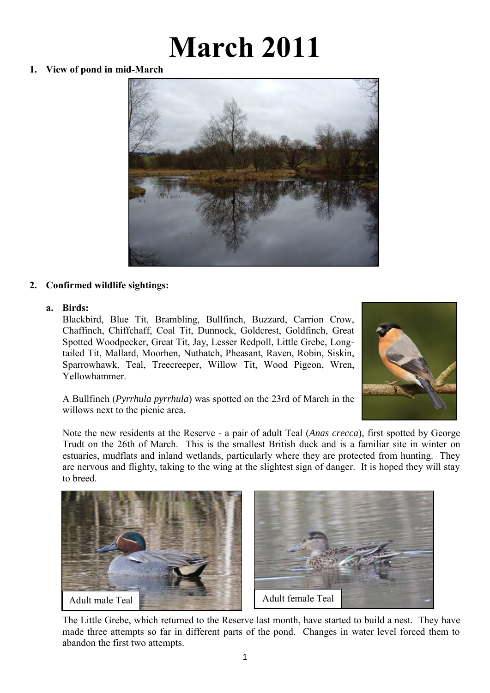# **March 2011**

**1. View of pond in mid-March** 



# **2. Confirmed wildlife sightings:**

# **a. Birds:**

Blackbird, Blue Tit, Brambling, Bullfinch, Buzzard, Carrion Crow, Chaffinch, Chiffchaff, Coal Tit, Dunnock, Goldcrest, Goldfinch, Great Spotted Woodpecker, Great Tit, Jay, Lesser Redpoll, Little Grebe, Longtailed Tit, Mallard, Moorhen, Nuthatch, Pheasant, Raven, Robin, Siskin, Sparrowhawk, Teal, Treecreeper, Willow Tit, Wood Pigeon, Wren, Yellowhammer.



A Bullfinch (*Pyrrhula pyrrhula*) was spotted on the 23rd of March in the willows next to the picnic area.

Note the new residents at the Reserve - a pair of adult Teal (*Anas crecca*), first spotted by George Trudt on the 26th of March. This is the smallest British duck and is a familiar site in winter on estuaries, mudflats and inland wetlands, particularly where they are protected from hunting. They are nervous and flighty, taking to the wing at the slightest sign of danger. It is hoped they will stay to breed.



The Little Grebe, which returned to the Reserve last month, have started to build a nest. They have made three attempts so far in different parts of the pond. Changes in water level forced them to abandon the first two attempts.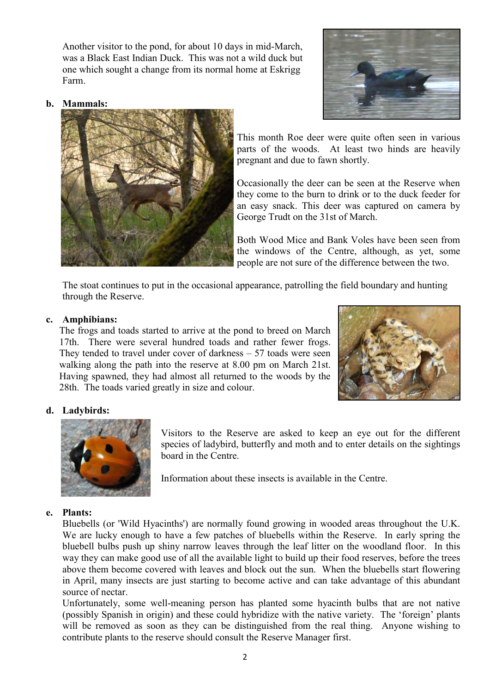Another visitor to the pond, for about 10 days in mid-March, was a Black East Indian Duck. This was not a wild duck but one which sought a change from its normal home at Eskrigg Farm.



## **b. Mammals:**



This month Roe deer were quite often seen in various parts of the woods. At least two hinds are heavily pregnant and due to fawn shortly.

Occasionally the deer can be seen at the Reserve when they come to the burn to drink or to the duck feeder for an easy snack. This deer was captured on camera by George Trudt on the 31st of March.

Both Wood Mice and Bank Voles have been seen from the windows of the Centre, although, as yet, some people are not sure of the difference between the two.

 The stoat continues to put in the occasional appearance, patrolling the field boundary and hunting through the Reserve.

## **c. Amphibians:**

The frogs and toads started to arrive at the pond to breed on March 17th. There were several hundred toads and rather fewer frogs. They tended to travel under cover of darkness – 57 toads were seen walking along the path into the reserve at 8.00 pm on March 21st. Having spawned, they had almost all returned to the woods by the 28th. The toads varied greatly in size and colour.



## **d. Ladybirds:**



Visitors to the Reserve are asked to keep an eye out for the different species of ladybird, butterfly and moth and to enter details on the sightings board in the Centre.

Information about these insects is available in the Centre.

#### **e. Plants:**

Bluebells (or 'Wild Hyacinths') are normally found growing in wooded areas throughout the U.K. We are lucky enough to have a few patches of bluebells within the Reserve. In early spring the bluebell bulbs push up shiny narrow leaves through the leaf litter on the woodland floor. In this way they can make good use of all the available light to build up their food reserves, before the trees above them become covered with leaves and block out the sun. When the bluebells start flowering in April, many insects are just starting to become active and can take advantage of this abundant source of nectar.

Unfortunately, some well-meaning person has planted some hyacinth bulbs that are not native (possibly Spanish in origin) and these could hybridize with the native variety. The 'foreign' plants will be removed as soon as they can be distinguished from the real thing. Anyone wishing to contribute plants to the reserve should consult the Reserve Manager first.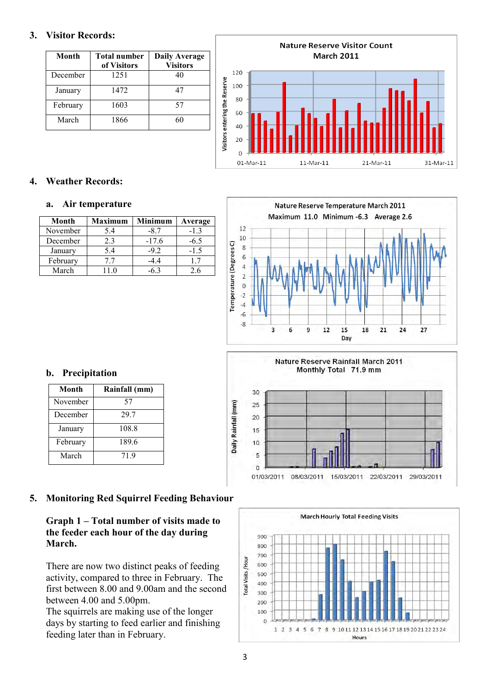# **3. Visitor Records:**

| Month    | <b>Total number</b><br>of Visitors | <b>Daily Average</b><br><b>Visitors</b> |
|----------|------------------------------------|-----------------------------------------|
| December | 1251                               | 40                                      |
| January  | 1472                               | 47                                      |
| February | 1603                               | 57                                      |
| March    | 1866                               |                                         |



# **4. Weather Records:**

#### **a. Air temperature**

| Month    | <b>Maximum</b> | <b>Minimum</b> | Average |
|----------|----------------|----------------|---------|
| November | 5.4            | -87            | $-13$   |
| December | 23             | $-17.6$        | -6.5    |
| January  | 5.4            | $-9.2$         | $-1.5$  |
| February | 77             | -44            | 17      |
| March    |                |                | 26      |



Nature Reserve Rainfall March 2011 Monthly Total 71.9 mm

01/03/2011 08/03/2011 15/03/2011 22/03/2011



| Month    | Rainfall (mm) |
|----------|---------------|
| November | 57            |
| December | 29.7          |
| January  | 108.8         |
| February | 189.6         |
| March    | 719           |

# **5. Monitoring Red Squirrel Feeding Behaviour**

# **Graph 1 – Total number of visits made to the feeder each hour of the day during March.**

There are now two distinct peaks of feeding activity, compared to three in February. The first between 8.00 and 9.00am and the second between 4.00 and 5.00pm.

The squirrels are making use of the longer days by starting to feed earlier and finishing feeding later than in February.



29/03/2011

30

Daily Rainfall (mm)